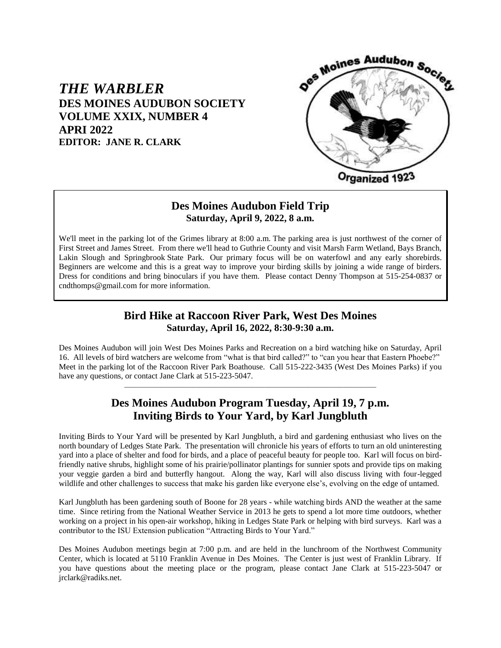# *THE WARBLER* **DES MOINES AUDUBON SOCIETY VOLUME XXIX, NUMBER 4 APRI 2022 EDITOR: JANE R. CLARK**



# **Des Moines Audubon Field Trip Saturday, April 9, 2022, 8 a.m.**

We'll meet in the parking lot of the Grimes library at 8:00 a.m. The parking area is just northwest of the corner of First Street and James Street. From there we'll head to Guthrie County and visit Marsh Farm Wetland, Bays Branch, Lakin Slough and Springbrook State Park. Our primary focus will be on waterfowl and any early shorebirds. Beginners are welcome and this is a great way to improve your birding skills by joining a wide range of birders. Dress for conditions and bring binoculars if you have them. Please contact Denny Thompson at 515-254-0837 or cndthomps@gmail.com for more information.

## **Bird Hike at Raccoon River Park, West Des Moines Saturday, April 16, 2022, 8:30-9:30 a.m.**

Des Moines Audubon will join West Des Moines Parks and Recreation on a bird watching hike on Saturday, April 16. All levels of bird watchers are welcome from "what is that bird called?" to "can you hear that Eastern Phoebe?" Meet in the parking lot of the Raccoon River Park Boathouse. Call 515-222-3435 (West Des Moines Parks) if you have any questions, or contact Jane Clark at 515-223-5047.

# **Des Moines Audubon Program Tuesday, April 19, 7 p.m. Inviting Birds to Your Yard, by Karl Jungbluth**

\_\_\_\_\_\_\_\_\_\_\_\_\_\_\_\_\_\_\_\_\_\_\_\_\_\_\_\_\_\_\_\_\_\_\_\_\_\_\_\_\_\_\_\_\_\_\_\_\_\_\_\_\_\_\_\_\_\_\_\_\_\_\_\_\_\_\_\_\_\_\_\_\_\_\_\_\_

Inviting Birds to Your Yard will be presented by Karl Jungbluth, a bird and gardening enthusiast who lives on the north boundary of Ledges State Park. The presentation will chronicle his years of efforts to turn an old uninteresting yard into a place of shelter and food for birds, and a place of peaceful beauty for people too. Karl will focus on birdfriendly native shrubs, highlight some of his prairie/pollinator plantings for sunnier spots and provide tips on making your veggie garden a bird and butterfly hangout. Along the way, Karl will also discuss living with four-legged wildlife and other challenges to success that make his garden like everyone else's, evolving on the edge of untamed.

Karl Jungbluth has been gardening south of Boone for 28 years - while watching birds AND the weather at the same time. Since retiring from the National Weather Service in 2013 he gets to spend a lot more time outdoors, whether working on a project in his open-air workshop, hiking in Ledges State Park or helping with bird surveys. Karl was a contributor to the ISU Extension publication "Attracting Birds to Your Yard."

Des Moines Audubon meetings begin at 7:00 p.m. and are held in the lunchroom of the Northwest Community Center, which is located at 5110 Franklin Avenue in Des Moines. The Center is just west of Franklin Library. If you have questions about the meeting place or the program, please contact Jane Clark at 515-223-5047 or jrclark@radiks.net.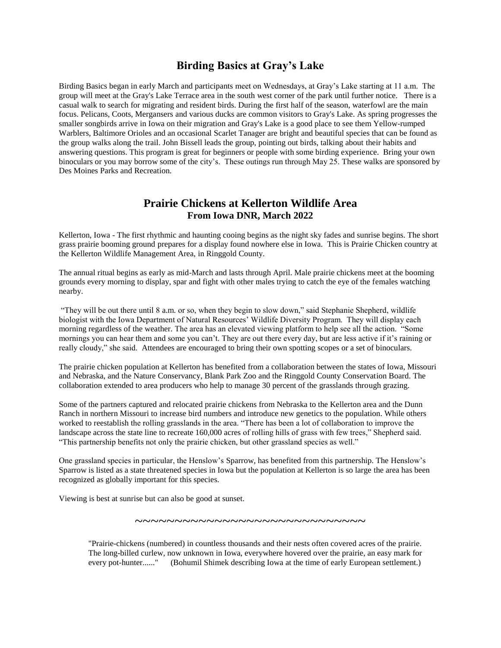## **Birding Basics at Gray's Lake**

Birding Basics began in early March and participants meet on Wednesdays, at Gray's Lake starting at 11 a.m. The group will meet at the Gray's Lake Terrace area in the south west corner of the park until further notice. There is a casual walk to search for migrating and resident birds. During the first half of the season, waterfowl are the main focus. Pelicans, Coots, Mergansers and various ducks are common visitors to Gray's Lake. As spring progresses the smaller songbirds arrive in Iowa on their migration and Gray's Lake is a good place to see them Yellow-rumped Warblers, Baltimore Orioles and an occasional Scarlet Tanager are bright and beautiful species that can be found as the group walks along the trail. John Bissell leads the group, pointing out birds, talking about their habits and answering questions. This program is great for beginners or people with some birding experience. Bring your own binoculars or you may borrow some of the city's. These outings run through May 25. These walks are sponsored by Des Moines Parks and Recreation.

### **Prairie Chickens at Kellerton Wildlife Area From Iowa DNR, March 2022**

Kellerton, Iowa - The first rhythmic and haunting cooing begins as the night sky fades and sunrise begins. The short grass prairie booming ground prepares for a display found nowhere else in Iowa. This is Prairie Chicken country at the Kellerton Wildlife Management Area, in Ringgold County.

The annual ritual begins as early as mid-March and lasts through April. Male prairie chickens meet at the booming grounds every morning to display, spar and fight with other males trying to catch the eye of the females watching nearby.

"They will be out there until 8 a.m. or so, when they begin to slow down," said Stephanie Shepherd, wildlife biologist with the Iowa Department of Natural Resources' Wildlife Diversity Program. They will display each morning regardless of the weather. The area has an elevated viewing platform to help see all the action. "Some mornings you can hear them and some you can't. They are out there every day, but are less active if it's raining or really cloudy," she said. Attendees are encouraged to bring their own spotting scopes or a set of binoculars.

The prairie chicken population at Kellerton has benefited from a collaboration between the states of Iowa, Missouri and Nebraska, and the Nature Conservancy, Blank Park Zoo and the Ringgold County Conservation Board. The collaboration extended to area producers who help to manage 30 percent of the grasslands through grazing.

Some of the partners captured and relocated prairie chickens from Nebraska to the Kellerton area and the Dunn Ranch in northern Missouri to increase bird numbers and introduce new genetics to the population. While others worked to reestablish the rolling grasslands in the area. "There has been a lot of collaboration to improve the landscape across the state line to recreate 160,000 acres of rolling hills of grass with few trees," Shepherd said. "This partnership benefits not only the prairie chicken, but other grassland species as well."

One grassland species in particular, the Henslow's Sparrow, has benefited from this partnership. The Henslow's Sparrow is listed as a state threatened species in Iowa but the population at Kellerton is so large the area has been recognized as globally important for this species.

Viewing is best at sunrise but can also be good at sunset.

"Prairie-chickens (numbered) in countless thousands and their nests often covered acres of the prairie. The long-billed curlew, now unknown in Iowa, everywhere hovered over the prairie, an easy mark for every pot-hunter......" (Bohumil Shimek describing Iowa at the time of early European settlement.)

~~~~~~~~~~~~~~~~~~~~~~~~~~~~~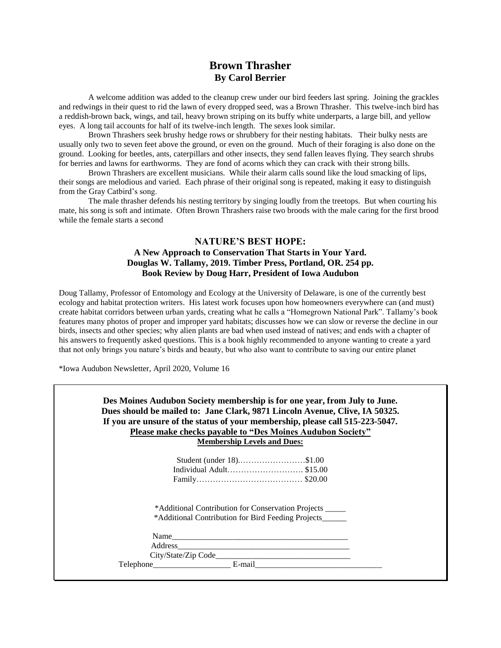### **Brown Thrasher By Carol Berrier**

A welcome addition was added to the cleanup crew under our bird feeders last spring. Joining the grackles and redwings in their quest to rid the lawn of every dropped seed, was a Brown Thrasher. This twelve-inch bird has a reddish-brown back, wings, and tail, heavy brown striping on its buffy white underparts, a large bill, and yellow eyes. A long tail accounts for half of its twelve-inch length. The sexes look similar.

Brown Thrashers seek brushy hedge rows or shrubbery for their nesting habitats. Their bulky nests are usually only two to seven feet above the ground, or even on the ground. Much of their foraging is also done on the ground. Looking for beetles, ants, caterpillars and other insects, they send fallen leaves flying. They search shrubs for berries and lawns for earthworms. They are fond of acorns which they can crack with their strong bills.

Brown Thrashers are excellent musicians. While their alarm calls sound like the loud smacking of lips, their songs are melodious and varied. Each phrase of their original song is repeated, making it easy to distinguish from the Gray Catbird's song.

The male thrasher defends his nesting territory by singing loudly from the treetops. But when courting his mate, his song is soft and intimate. Often Brown Thrashers raise two broods with the male caring for the first brood while the female starts a second

#### **NATURE'S BEST HOPE:**

#### **A New Approach to Conservation That Starts in Your Yard. Douglas W. Tallamy, 2019. Timber Press, Portland, OR. 254 pp. Book Review by Doug Harr, President of Iowa Audubon**

Doug Tallamy, Professor of Entomology and Ecology at the University of Delaware, is one of the currently best ecology and habitat protection writers. His latest work focuses upon how homeowners everywhere can (and must) create habitat corridors between urban yards, creating what he calls a "Homegrown National Park". Tallamy's book features many photos of proper and improper yard habitats; discusses how we can slow or reverse the decline in our birds, insects and other species; why alien plants are bad when used instead of natives; and ends with a chapter of his answers to frequently asked questions. This is a book highly recommended to anyone wanting to create a yard that not only brings you nature's birds and beauty, but who also want to contribute to saving our entire planet

\*Iowa Audubon Newsletter, April 2020, Volume 16

| If you are unsure of the status of your membership, please call 515-223-5047.<br>Please make checks payable to "Des Moines Audubon Society" |                          |                                                          |  |
|---------------------------------------------------------------------------------------------------------------------------------------------|--------------------------|----------------------------------------------------------|--|
| <b>Membership Levels and Dues:</b>                                                                                                          |                          |                                                          |  |
|                                                                                                                                             | Student (under 18)\$1.00 |                                                          |  |
|                                                                                                                                             | Individual Adult\$15.00  |                                                          |  |
|                                                                                                                                             |                          |                                                          |  |
|                                                                                                                                             |                          | *Additional Contribution for Conservation Projects _____ |  |
|                                                                                                                                             |                          | *Additional Contribution for Bird Feeding Projects______ |  |
|                                                                                                                                             | Name                     |                                                          |  |
|                                                                                                                                             |                          |                                                          |  |